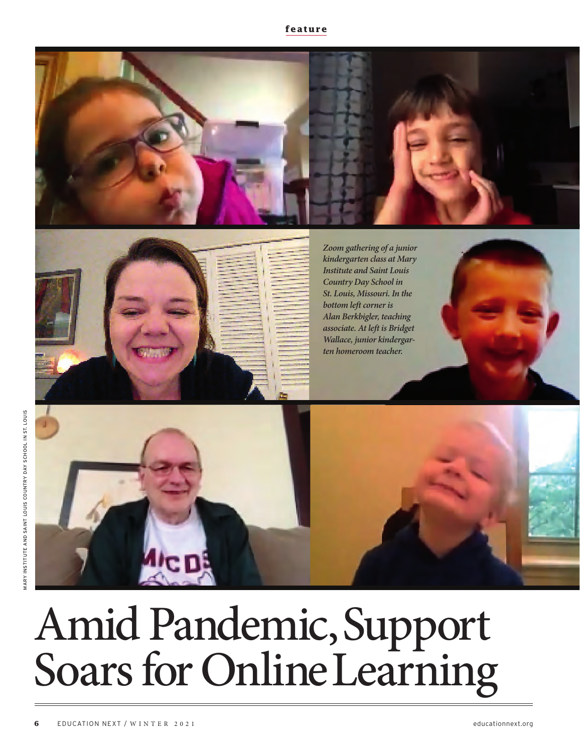



*Zoom gathering of a junior kindergarten class at Mary Institute and Saint Louis Country Day School in St. Louis, Missouri. In the bottom left corner is Alan Berkbigler, teaching associate. At left is Bridget Wallace, junior kindergarten homeroom teacher.*



# Amid Pandemic, Support Soars for Online Learning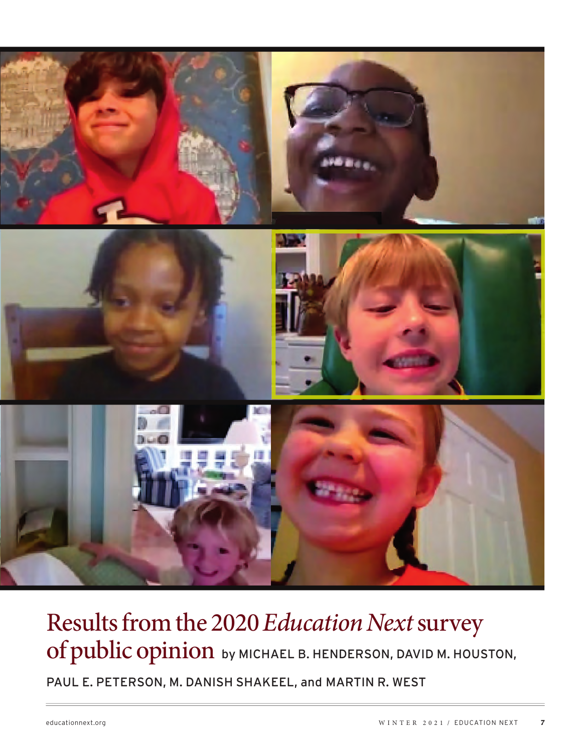

## Results from the 2020 *Education Next* survey of public opinion by MICHAEL B. HENDERSON, DAVID M. HOUSTON,

PAUL E. PETERSON, M. DANISH SHAKEEL, and MARTIN R. WEST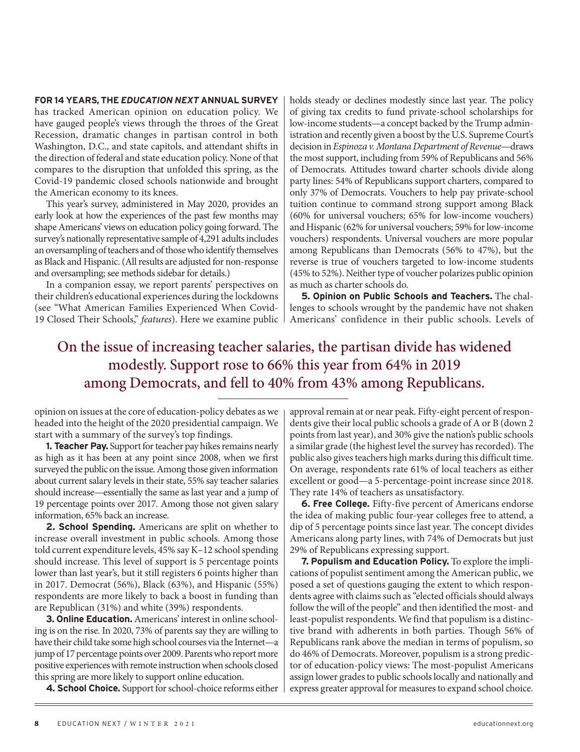#### **FOR 14 YEARS, THE** *EDUCATION NEXT* **ANNUAL SURVEY**

has tracked American opinion on education policy. We have gauged people's views through the throes of the Great Recession, dramatic changes in partisan control in both Washington, D.C., and state capitols, and attendant shifts in the direction of federal and state education policy. None of that compares to the disruption that unfolded this spring, as the Covid-19 pandemic closed schools nationwide and brought the American economy to its knees.

This year's survey, administered in May 2020, provides an early look at how the experiences of the past few months may shape Americans' views on education policy going forward. The survey's nationally representative sample of 4,291 adults includes an oversampling of teachers and of those who identify themselves as Black and Hispanic. (All results are adjusted for non-response and oversampling; see methods sidebar for details.)

In a companion essay, we report parents' perspectives on their children's educational experiences during the lockdowns (see "What American Families Experienced When Covid-19 Closed Their Schools," *features*). Here we examine public holds steady or declines modestly since last year. The policy of giving tax credits to fund private-school scholarships for low-income students—a concept backed by the Trump administration and recently given a boost by the U.S. Supreme Court's decision in *Espinoza v. Montana Department of Revenue*—draws the most support, including from 59% of Republicans and 56% of Democrats. Attitudes toward charter schools divide along party lines: 54% of Republicans support charters, compared to only 37% of Democrats. Vouchers to help pay private-school tuition continue to command strong support among Black (60% for universal vouchers; 65% for low-income vouchers) and Hispanic (62% for universal vouchers; 59% for low-income vouchers) respondents. Universal vouchers are more popular among Republicans than Democrats (56% to 47%), but the reverse is true of vouchers targeted to low-income students (45% to 52%). Neither type of voucher polarizes public opinion as much as charter schools do.

**5. Opinion on Public Schools and Teachers.** The challenges to schools wrought by the pandemic have not shaken Americans' confidence in their public schools. Levels of

### On the issue of increasing teacher salaries, the partisan divide has widened modestly. Support rose to 66% this year from 64% in 2019 among Democrats, and fell to 40% from 43% among Republicans.

opinion on issues at the core of education-policy debates as we headed into the height of the 2020 presidential campaign. We start with a summary of the survey's top findings.

**1. Teacher Pay.** Support for teacher pay hikes remains nearly as high as it has been at any point since 2008, when we first surveyed the public on the issue. Among those given information about current salary levels in their state, 55% say teacher salaries should increase—essentially the same as last year and a jump of 19 percentage points over 2017. Among those not given salary information, 65% back an increase.

**2. School Spending.** Americans are split on whether to increase overall investment in public schools. Among those told current expenditure levels, 45% say K–12 school spending should increase. This level of support is 5 percentage points lower than last year's, but it still registers 6 points higher than in 2017. Democrat (56%), Black (63%), and Hispanic (55%) respondents are more likely to back a boost in funding than are Republican (31%) and white (39%) respondents.

**3. Online Education.** Americans' interest in online schooling is on the rise. In 2020, 73% of parents say they are willing to have their child take some high school courses via the Internet—a jump of 17 percentage points over 2009. Parents who report more positive experiences with remote instruction when schools closed this spring are more likely to support online education.

**4. School Choice.** Support for school-choice reforms either

approval remain at or near peak. Fifty-eight percent of respondents give their local public schools a grade of A or B (down 2 points from last year), and 30% give the nation's public schools a similar grade (the highest level the survey has recorded). The public also gives teachers high marks during this difficult time. On average, respondents rate 61% of local teachers as either excellent or good—a 5-percentage-point increase since 2018. They rate 14% of teachers as unsatisfactory.

**6. Free College.** Fifty-five percent of Americans endorse the idea of making public four-year colleges free to attend, a dip of 5 percentage points since last year. The concept divides Americans along party lines, with 74% of Democrats but just 29% of Republicans expressing support.

**7. Populism and Education Policy.** To explore the implications of populist sentiment among the American public, we posed a set of questions gauging the extent to which respondents agree with claims such as "elected officials should always follow the will of the people" and then identified the most- and least-populist respondents. We find that populism is a distinctive brand with adherents in both parties. Though 56% of Republicans rank above the median in terms of populism, so do 46% of Democrats. Moreover, populism is a strong predictor of education-policy views: The most-populist Americans assign lower grades to public schools locally and nationally and express greater approval for measures to expand school choice.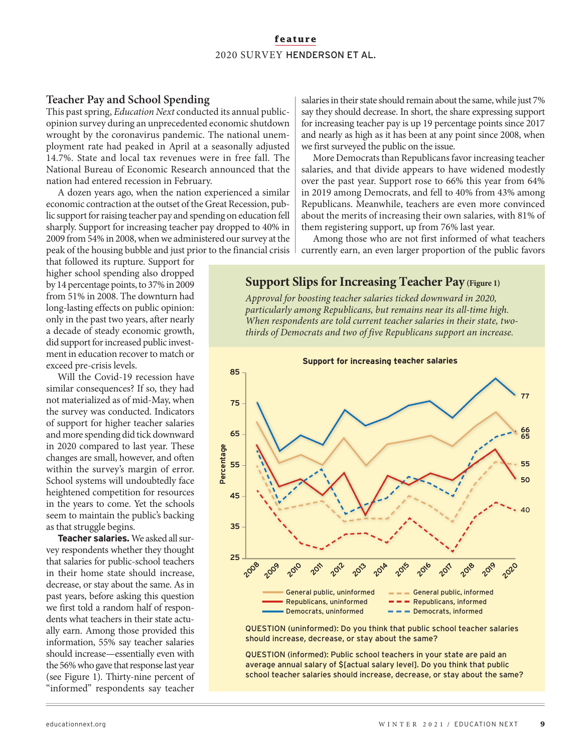### **Teacher Pay and School Spending**

This past spring, *Education Next* conducted its annual publicopinion survey during an unprecedented economic shutdown wrought by the coronavirus pandemic. The national unemployment rate had peaked in April at a seasonally adjusted 14.7%. State and local tax revenues were in free fall. The National Bureau of Economic Research announced that the nation had entered recession in February.

A dozen years ago, when the nation experienced a similar economic contraction at the outset of the Great Recession, public support for raising teacher pay and spending on education fell sharply. Support for increasing teacher pay dropped to 40% in 2009 from 54% in 2008, when we administered our survey at the peak of the housing bubble and just prior to the financial crisis

that followed its rupture. Support for higher school spending also dropped by 14 percentage points, to 37% in 2009 from 51% in 2008. The downturn had long-lasting effects on public opinion: only in the past two years, after nearly a decade of steady economic growth, did support for increased public investment in education recover to match or exceed pre-crisis levels.

Will the Covid-19 recession have similar consequences? If so, they had not materialized as of mid-May, when the survey was conducted. Indicators of support for higher teacher salaries and more spending did tick downward in 2020 compared to last year. These changes are small, however, and often within the survey's margin of error. School systems will undoubtedly face heightened competition for resources in the years to come. Yet the schools seem to maintain the public's backing as that struggle begins.

**Teacher salaries.** We asked all survey respondents whether they thought that salaries for public-school teachers in their home state should increase, decrease, or stay about the same. As in past years, before asking this question we first told a random half of respondents what teachers in their state actually earn. Among those provided this information, 55% say teacher salaries should increase—essentially even with the 56% who gave that response last year (see Figure 1). Thirty-nine percent of "informed" respondents say teacher

salaries in their state should remain about the same, while just 7% say they should decrease. In short, the share expressing support for increasing teacher pay is up 19 percentage points since 2017 and nearly as high as it has been at any point since 2008, when we first surveyed the public on the issue.

More Democrats than Republicans favor increasing teacher salaries, and that divide appears to have widened modestly over the past year. Support rose to 66% this year from 64% in 2019 among Democrats, and fell to 40% from 43% among Republicans. Meanwhile, teachers are even more convinced about the merits of increasing their own salaries, with 81% of them registering support, up from 76% last year.

Among those who are not first informed of what teachers currently earn, an even larger proportion of the public favors

### **Support Slips for Increasing Teacher Pay (Figure 1)**

*Approval for boosting teacher salaries ticked downward in 2020, particularly among Republicans, but remains near its all-time high. When respondents are told current teacher salaries in their state, twothirds of Democrats and two of five Republicans support an increase.*



QUESTION (uninformed): Do you think that public school teacher salaries should increase, decrease, or stay about the same?

QUESTION (informed): Public school teachers in your state are paid an average annual salary of \$[actual salary level]. Do you think that public school teacher salaries should increase, decrease, or stay about the same?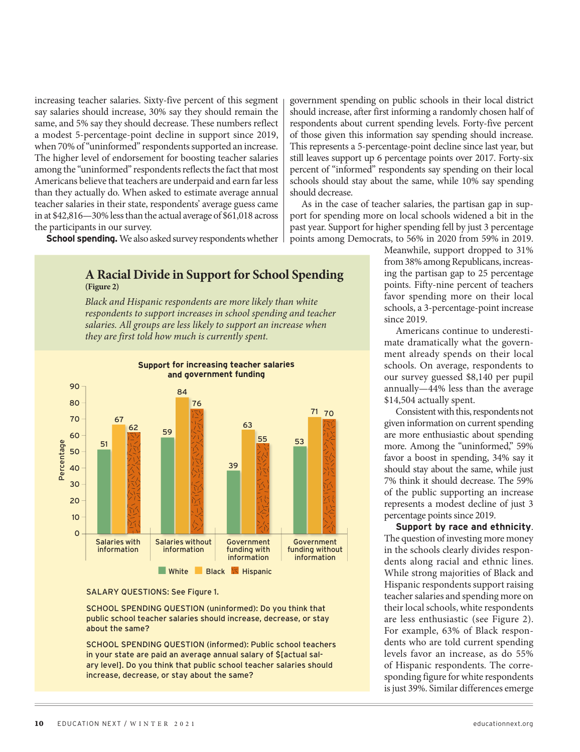increasing teacher salaries. Sixty-five percent of this segment say salaries should increase, 30% say they should remain the same, and 5% say they should decrease. These numbers reflect a modest 5-percentage-point decline in support since 2019, when 70% of "uninformed" respondents supported an increase. The higher level of endorsement for boosting teacher salaries among the "uninformed" respondents reflects the fact that most Americans believe that teachers are underpaid and earn far less than they actually do. When asked to estimate average annual teacher salaries in their state, respondents' average guess came in at \$42,816—30% less than the actual average of \$61,018 across the participants in our survey.

**School spending.** We also asked survey respondents whether

**A Racial Divide in Support for School Spending (Figure 2)**

*Black and Hispanic respondents are more likely than white respondents to support increases in school spending and teacher salaries. All groups are less likely to support an increase when they are first told how much is currently spent.*



#### SALARY QUESTIONS: See Figure 1.

SCHOOL SPENDING QUESTION (uninformed): Do you think that public school teacher salaries should increase, decrease, or stay about the same?

SCHOOL SPENDING QUESTION (informed): Public school teachers in your state are paid an average annual salary of \$[actual salary level]. Do you think that public school teacher salaries should increase, decrease, or stay about the same?

government spending on public schools in their local district should increase, after first informing a randomly chosen half of respondents about current spending levels. Forty-five percent of those given this information say spending should increase. This represents a 5-percentage-point decline since last year, but still leaves support up 6 percentage points over 2017. Forty-six percent of "informed" respondents say spending on their local schools should stay about the same, while 10% say spending should decrease.

As in the case of teacher salaries, the partisan gap in support for spending more on local schools widened a bit in the past year. Support for higher spending fell by just 3 percentage points among Democrats, to 56% in 2020 from 59% in 2019.

> Meanwhile, support dropped to 31% from 38% among Republicans, increasing the partisan gap to 25 percentage points. Fifty-nine percent of teachers favor spending more on their local schools, a 3-percentage-point increase since 2019.

> Americans continue to underestimate dramatically what the government already spends on their local schools. On average, respondents to our survey guessed \$8,140 per pupil annually—44% less than the average \$14,504 actually spent.

> Consistent with this, respondents not given information on current spending are more enthusiastic about spending more. Among the "uninformed," 59% favor a boost in spending, 34% say it should stay about the same, while just 7% think it should decrease. The 59% of the public supporting an increase represents a modest decline of just 3 percentage points since 2019.

> **Support by race and ethnicity**. The question of investing more money in the schools clearly divides respondents along racial and ethnic lines. While strong majorities of Black and Hispanic respondents support raising teacher salaries and spending more on their local schools, white respondents are less enthusiastic (see Figure 2). For example, 63% of Black respondents who are told current spending levels favor an increase, as do 55% of Hispanic respondents. The corresponding figure for white respondents is just 39%. Similar differences emerge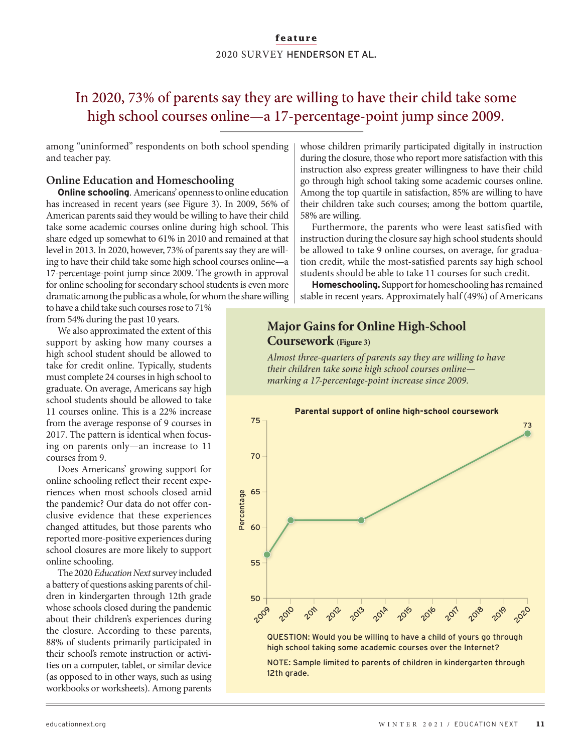### In 2020, 73% of parents say they are willing to have their child take some high school courses online—a 17-percentage-point jump since 2009.

among "uninformed" respondents on both school spending and teacher pay.

### **Online Education and Homeschooling**

**Online schooling**. Americans' openness to online education has increased in recent years (see Figure 3). In 2009, 56% of American parents said they would be willing to have their child take some academic courses online during high school. This share edged up somewhat to 61% in 2010 and remained at that level in 2013. In 2020, however, 73% of parents say they are willing to have their child take some high school courses online—a 17-percentage-point jump since 2009. The growth in approval for online schooling for secondary school students is even more dramatic among the public as a whole, for whom the share willing

to have a child take such courses rose to 71% from 54% during the past 10 years.

We also approximated the extent of this support by asking how many courses a high school student should be allowed to take for credit online. Typically, students must complete 24 courses in high school to graduate. On average, Americans say high school students should be allowed to take 11 courses online. This is a 22% increase from the average response of 9 courses in 2017. The pattern is identical when focusing on parents only—an increase to 11 courses from 9.

Does Americans' growing support for online schooling reflect their recent experiences when most schools closed amid the pandemic? Our data do not offer conclusive evidence that these experiences changed attitudes, but those parents who reported more-positive experiences during school closures are more likely to support online schooling.

The 2020 *Education Next* survey included a battery of questions asking parents of children in kindergarten through 12th grade whose schools closed during the pandemic about their children's experiences during the closure. According to these parents, 88% of students primarily participated in their school's remote instruction or activities on a computer, tablet, or similar device (as opposed to in other ways, such as using workbooks or worksheets). Among parents

whose children primarily participated digitally in instruction during the closure, those who report more satisfaction with this instruction also express greater willingness to have their child go through high school taking some academic courses online. Among the top quartile in satisfaction, 85% are willing to have their children take such courses; among the bottom quartile, 58% are willing.

Furthermore, the parents who were least satisfied with instruction during the closure say high school students should be allowed to take 9 online courses, on average, for graduation credit, while the most-satisfied parents say high school students should be able to take 11 courses for such credit.

**Homeschooling.** Support for homeschooling has remained stable in recent years. Approximately half (49%) of Americans

### **Major Gains for Online High-School Coursework (Figure 3)**

*Almost three-quarters of parents say they are willing to have their children take some high school courses online marking a 17-percentage-point increase since 2009.*

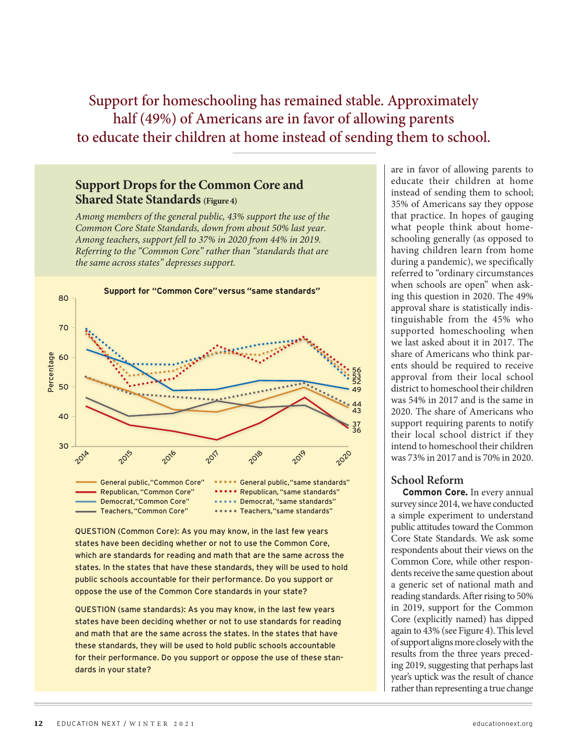Support for homeschooling has remained stable. Approximately half (49%) of Americans are in favor of allowing parents to educate their children at home instead of sending them to school.

### **Support Drops for the Common Core and Shared State Standards (Figure 4)**

*Among members of the general public, 43% support the use of the Common Core State Standards, down from about 50% last year. Among teachers, support fell to 37% in 2020 from 44% in 2019. Referring to the "Common Core" rather than "standards that are the same across states" depresses support.*



QUESTION (Common Core): As you may know, in the last few years states have been deciding whether or not to use the Common Core, which are standards for reading and math that are the same across the states. In the states that have these standards, they will be used to hold public schools accountable for their performance. Do you support or oppose the use of the Common Core standards in your state?

QUESTION (same standards): As you may know, in the last few years states have been deciding whether or not to use standards for reading and math that are the same across the states. In the states that have these standards, they will be used to hold public schools accountable for their performance. Do you support or oppose the use of these standards in your state?

are in favor of allowing parents to educate their children at home instead of sending them to school; 35% of Americans say they oppose that practice. In hopes of gauging what people think about homeschooling generally (as opposed to having children learn from home during a pandemic), we specifically referred to "ordinary circumstances when schools are open" when asking this question in 2020. The 49% approval share is statistically indistinguishable from the 45% who supported homeschooling when we last asked about it in 2017. The share of Americans who think parents should be required to receive approval from their local school district to homeschool their children was 54% in 2017 and is the same in 2020. The share of Americans who support requiring parents to notify their local school district if they intend to homeschool their children was 73% in 2017 and is 70% in 2020.

### **School Reform**

**Common Core.** In every annual survey since 2014, we have conducted a simple experiment to understand public attitudes toward the Common Core State Standards. We ask some respondents about their views on the Common Core, while other respondents receive the same question about a generic set of national math and reading standards. After rising to 50% in 2019, support for the Common Core (explicitly named) has dipped again to 43% (see Figure 4). This level of support aligns more closely with the results from the three years preceding 2019, suggesting that perhaps last year's uptick was the result of chance rather than representing a true change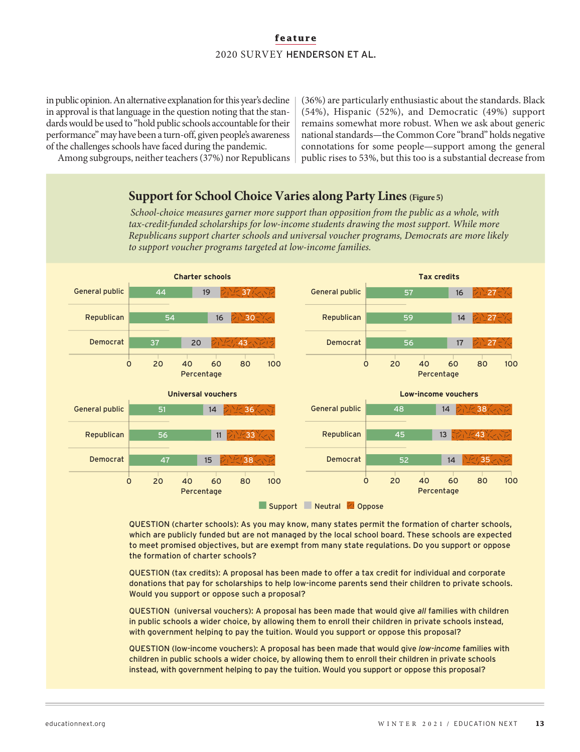in public opinion. An alternative explanation for this year's decline in approval is that language in the question noting that the standards would be used to "hold public schools accountable for their performance" may have been a turn-off, given people's awareness of the challenges schools have faced during the pandemic.

(36%) are particularly enthusiastic about the standards. Black (54%), Hispanic (52%), and Democratic (49%) support remains somewhat more robust. When we ask about generic national standards—the Common Core "brand" holds negative connotations for some people—support among the general public rises to 53%, but this too is a substantial decrease from

Among subgroups, neither teachers (37%) nor Republicans

### **Support for School Choice Varies along Party Lines (Figure 5)**

*School-choice measures garner more support than opposition from the public as a whole, with tax-credit-funded scholarships for low-income students drawing the most support. While more Republicans support charter schools and universal voucher programs, Democrats are more likely to support voucher programs targeted at low-income families.*



QUESTION (charter schools): As you may know, many states permit the formation of charter schools, which are publicly funded but are not managed by the local school board. These schools are expected to meet promised objectives, but are exempt from many state regulations. Do you support or oppose the formation of charter schools?

QUESTION (tax credits): A proposal has been made to offer a tax credit for individual and corporate donations that pay for scholarships to help low-income parents send their children to private schools. Would you support or oppose such a proposal?

QUESTION (universal vouchers): A proposal has been made that would give *all* families with children in public schools a wider choice, by allowing them to enroll their children in private schools instead, with government helping to pay the tuition. Would you support or oppose this proposal?

QUESTION (low-income vouchers): A proposal has been made that would give *low-income* families with children in public schools a wider choice, by allowing them to enroll their children in private schools instead, with government helping to pay the tuition. Would you support or oppose this proposal?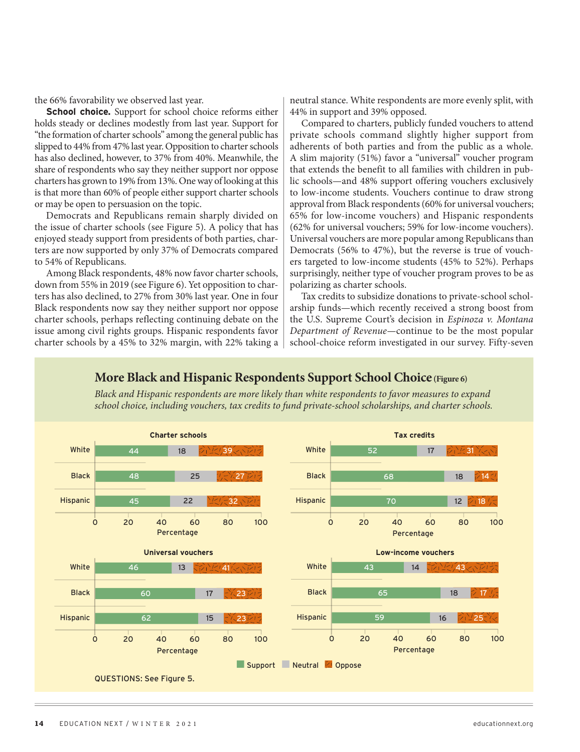the 66% favorability we observed last year.

**School choice.** Support for school choice reforms either holds steady or declines modestly from last year. Support for "the formation of charter schools" among the general public has slipped to 44% from 47% last year. Opposition to charter schools has also declined, however, to 37% from 40%. Meanwhile, the share of respondents who say they neither support nor oppose charters has grown to 19% from 13%. One way of looking at this is that more than 60% of people either support charter schools or may be open to persuasion on the topic.

Democrats and Republicans remain sharply divided on the issue of charter schools (see Figure 5). A policy that has enjoyed steady support from presidents of both parties, charters are now supported by only 37% of Democrats compared to 54% of Republicans.

Among Black respondents, 48% now favor charter schools, down from 55% in 2019 (see Figure 6). Yet opposition to charters has also declined, to 27% from 30% last year. One in four Black respondents now say they neither support nor oppose charter schools, perhaps reflecting continuing debate on the issue among civil rights groups. Hispanic respondents favor charter schools by a 45% to 32% margin, with 22% taking a neutral stance. White respondents are more evenly split, with 44% in support and 39% opposed.

Compared to charters, publicly funded vouchers to attend private schools command slightly higher support from adherents of both parties and from the public as a whole. A slim majority (51%) favor a "universal" voucher program that extends the benefit to all families with children in public schools—and 48% support offering vouchers exclusively to low-income students. Vouchers continue to draw strong approval from Black respondents (60% for universal vouchers; 65% for low-income vouchers) and Hispanic respondents (62% for universal vouchers; 59% for low-income vouchers). Universal vouchers are more popular among Republicans than Democrats (56% to 47%), but the reverse is true of vouchers targeted to low-income students (45% to 52%). Perhaps surprisingly, neither type of voucher program proves to be as polarizing as charter schools.

Tax credits to subsidize donations to private-school scholarship funds—which recently received a strong boost from the U.S. Supreme Court's decision in *Espinoza v. Montana Department of Revenue—*continue to be the most popular school-choice reform investigated in our survey. Fifty-seven

#### **Charter schools Tax credits Universal vouchers** Percentage White Black Hispanic 0 20 40 60 80 100 44 18 48 25 22 Percentage White Black Hispanic 0 20 40 60 80 100 52 17 68 18 70 12 **Low-income vouchers** Percentage White Black Hispanic 0 20 40 60 80 100 43 14 65 18 59 16 Percentage White Black **Hispanic** 0 20 40 60 80 100 46 13 60 17 62 15 Support Neutral <sup>1</sup> Oppose 39 27 32 41 23 23  $\frac{1}{2}$  31 14 18 アルク/43マトアリウ 17 25 QUESTIONS: See Figure 5.

### **More Black and Hispanic Respondents Support School Choice (Figure 6)**

*Black and Hispanic respondents are more likely than white respondents to favor measures to expand school choice, including vouchers, tax credits to fund private-school scholarships, and charter schools.*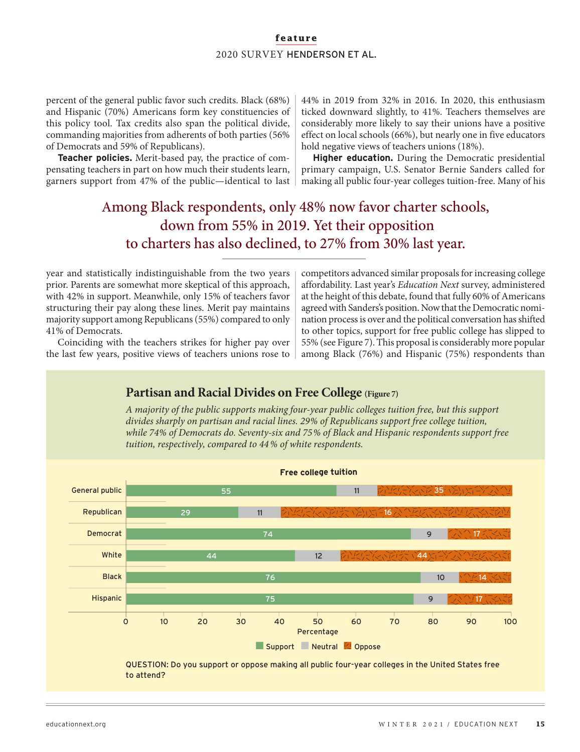percent of the general public favor such credits. Black (68%) and Hispanic (70%) Americans form key constituencies of this policy tool. Tax credits also span the political divide, commanding majorities from adherents of both parties (56% of Democrats and 59% of Republicans).

**Teacher policies.** Merit-based pay, the practice of compensating teachers in part on how much their students learn, garners support from 47% of the public—identical to last

44% in 2019 from 32% in 2016. In 2020, this enthusiasm ticked downward slightly, to 41%. Teachers themselves are considerably more likely to say their unions have a positive effect on local schools (66%), but nearly one in five educators hold negative views of teachers unions (18%).

**Higher education.** During the Democratic presidential primary campaign, U.S. Senator Bernie Sanders called for making all public four-year colleges tuition-free. Many of his

### Among Black respondents, only 48% now favor charter schools, down from 55% in 2019. Yet their opposition to charters has also declined, to 27% from 30% last year.

year and statistically indistinguishable from the two years prior. Parents are somewhat more skeptical of this approach, with 42% in support. Meanwhile, only 15% of teachers favor structuring their pay along these lines. Merit pay maintains majority support among Republicans (55%) compared to only 41% of Democrats.

Coinciding with the teachers strikes for higher pay over the last few years, positive views of teachers unions rose to competitors advanced similar proposals for increasing college affordability. Last year's *Education Next* survey, administered at the height of this debate, found that fully 60% of Americans agreed with Sanders's position. Now that the Democratic nomination process is over and the political conversation has shifted to other topics, support for free public college has slipped to 55% (see Figure 7). This proposal is considerably more popular among Black (76%) and Hispanic (75%) respondents than

#### Percentage General public Republican Democrat White Black Hispanic 0 10 20 30 40 50 60 70 80 90 100  $\blacksquare$  Support  $\blacksquare$  Neutral  $\lhd$  Oppose 55 11 29 11 74 9 44 12 76 10 75 9 **Free college tuition** 35 16 17 44 14  $^{\backprime}$ 17 QUESTION: Do you support or oppose making all public four-year colleges in the United States free to attend? **Partisan and Racial Divides on Free College (Figure 7)** *A majority of the public supports making four-year public colleges tuition free, but this support divides sharply on partisan and racial lines. 29 % of Republicans support free college tuition, while 74% of Democrats do. Seventy-six and 75% of Black and Hispanic respondents support free tuition, respectively, compared to 44 % of white respondents.*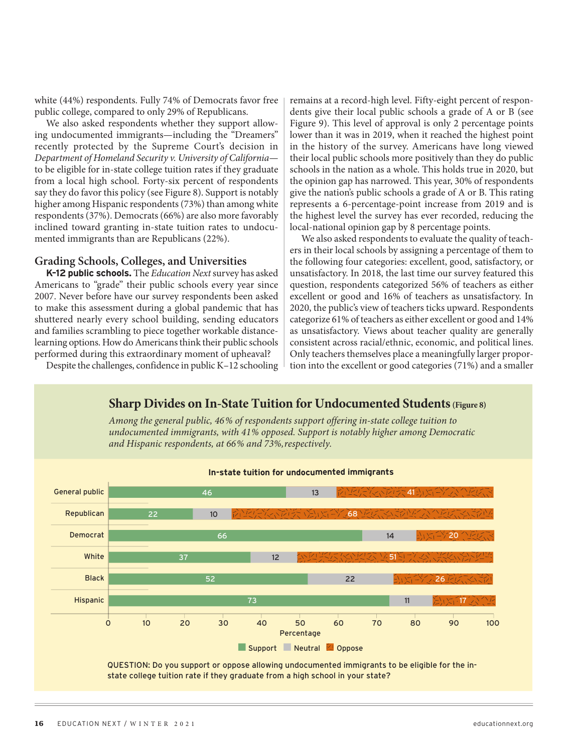white (44%) respondents. Fully 74% of Democrats favor free public college, compared to only 29% of Republicans.

We also asked respondents whether they support allowing undocumented immigrants—including the "Dreamers" recently protected by the Supreme Court's decision in *Department of Homeland Security v. University of California* to be eligible for in-state college tuition rates if they graduate from a local high school. Forty-six percent of respondents say they do favor this policy (see Figure 8). Support is notably higher among Hispanic respondents (73%) than among white respondents (37%). Democrats (66%) are also more favorably inclined toward granting in-state tuition rates to undocumented immigrants than are Republicans (22%).

#### **Grading Schools, Colleges, and Universities**

**K–12 public schools.** The *Education Next* survey has asked Americans to "grade" their public schools every year since 2007. Never before have our survey respondents been asked to make this assessment during a global pandemic that has shuttered nearly every school building, sending educators and families scrambling to piece together workable distancelearning options. How do Americans think their public schools performed during this extraordinary moment of upheaval?

Despite the challenges, confidence in public K–12 schooling

remains at a record-high level. Fifty-eight percent of respondents give their local public schools a grade of A or B (see Figure 9). This level of approval is only 2 percentage points lower than it was in 2019, when it reached the highest point in the history of the survey. Americans have long viewed their local public schools more positively than they do public schools in the nation as a whole. This holds true in 2020, but the opinion gap has narrowed. This year, 30% of respondents give the nation's public schools a grade of A or B. This rating represents a 6-percentage-point increase from 2019 and is the highest level the survey has ever recorded, reducing the local-national opinion gap by 8 percentage points.

We also asked respondents to evaluate the quality of teachers in their local schools by assigning a percentage of them to the following four categories: excellent, good, satisfactory, or unsatisfactory. In 2018, the last time our survey featured this question, respondents categorized 56% of teachers as either excellent or good and 16% of teachers as unsatisfactory. In 2020, the public's view of teachers ticks upward. Respondents categorize 61% of teachers as either excellent or good and 14% as unsatisfactory. Views about teacher quality are generally consistent across racial/ethnic, economic, and political lines. Only teachers themselves place a meaningfully larger proportion into the excellent or good categories (71%) and a smaller



### **Sharp Divides on In-State Tuition for Undocumented Students (Figure 8)**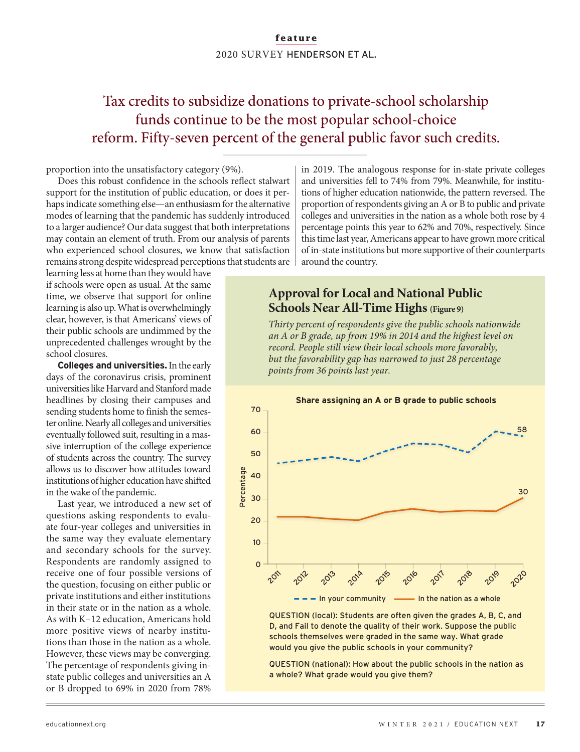### Tax credits to subsidize donations to private-school scholarship funds continue to be the most popular school-choice reform. Fifty-seven percent of the general public favor such credits.

proportion into the unsatisfactory category (9%).

Does this robust confidence in the schools reflect stalwart support for the institution of public education, or does it perhaps indicate something else—an enthusiasm for the alternative modes of learning that the pandemic has suddenly introduced to a larger audience? Our data suggest that both interpretations may contain an element of truth. From our analysis of parents who experienced school closures, we know that satisfaction remains strong despite widespread perceptions that students are

learning less at home than they would have if schools were open as usual. At the same time, we observe that support for online learning is also up. What is overwhelmingly clear, however, is that Americans' views of their public schools are undimmed by the unprecedented challenges wrought by the school closures.

**Colleges and universities.** In the early days of the coronavirus crisis, prominent universities like Harvard and Stanford made headlines by closing their campuses and sending students home to finish the semester online. Nearly all colleges and universities eventually followed suit, resulting in a massive interruption of the college experience of students across the country. The survey allows us to discover how attitudes toward institutions of higher education have shifted in the wake of the pandemic.

Last year, we introduced a new set of questions asking respondents to evaluate four-year colleges and universities in the same way they evaluate elementary and secondary schools for the survey. Respondents are randomly assigned to receive one of four possible versions of the question, focusing on either public or private institutions and either institutions in their state or in the nation as a whole. As with K–12 education, Americans hold more positive views of nearby institutions than those in the nation as a whole. However, these views may be converging. The percentage of respondents giving instate public colleges and universities an A or B dropped to 69% in 2020 from 78%

in 2019. The analogous response for in-state private colleges and universities fell to 74% from 79%. Meanwhile, for institutions of higher education nationwide, the pattern reversed. The proportion of respondents giving an A or B to public and private colleges and universities in the nation as a whole both rose by 4 percentage points this year to 62% and 70%, respectively. Since this time last year, Americans appear to have grown more critical of in-state institutions but more supportive of their counterparts around the country.

### **Approval for Local and National Public Schools Near All-Time Highs (Figure 9)**

*Thirty percent of respondents give the public schools nationwide an A or B grade, up from 19% in 2014 and the highest level on record. People still view their local schools more favorably, but the favorability gap has narrowed to just 28 percentage points from 36 points last year.*



QUESTION (local): Students are often given the grades A, B, C, and D, and Fail to denote the quality of their work. Suppose the public schools themselves were graded in the same way. What grade would you give the public schools in your community?

QUESTION (national): How about the public schools in the nation as a whole? What grade would you give them?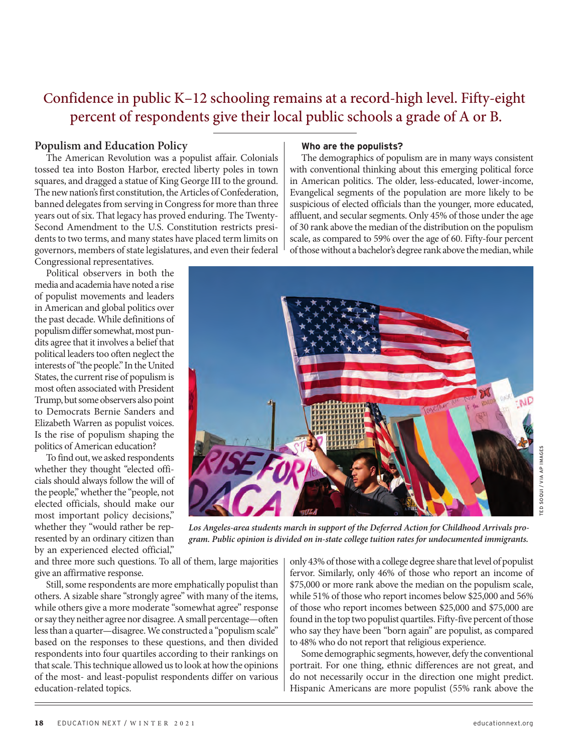### Confidence in public K–12 schooling remains at a record-high level. Fifty-eight percent of respondents give their local public schools a grade of A or B.

### **Populism and Education Policy**

The American Revolution was a populist affair. Colonials tossed tea into Boston Harbor, erected liberty poles in town squares, and dragged a statue of King George III to the ground. The new nation's first constitution, the Articles of Confederation, banned delegates from serving in Congress for more than three years out of six. That legacy has proved enduring. The Twenty-Second Amendment to the U.S. Constitution restricts presidents to two terms, and many states have placed term limits on governors, members of state legislatures, and even their federal Congressional representatives.

Political observers in both the media and academia have noted a rise of populist movements and leaders in American and global politics over the past decade. While definitions of populism differ somewhat, most pundits agree that it involves a belief that political leaders too often neglect the interests of "the people." In the United States, the current rise of populism is most often associated with President Trump, but some observers also point to Democrats Bernie Sanders and Elizabeth Warren as populist voices. Is the rise of populism shaping the politics of American education?

To find out, we asked respondents whether they thought "elected officials should always follow the will of the people," whether the "people, not elected officials, should make our most important policy decisions," whether they "would rather be represented by an ordinary citizen than by an experienced elected official,"

#### **Who are the populists?**

The demographics of populism are in many ways consistent with conventional thinking about this emerging political force in American politics. The older, less-educated, lower-income, Evangelical segments of the population are more likely to be suspicious of elected officials than the younger, more educated, affluent, and secular segments. Only 45% of those under the age of 30 rank above the median of the distribution on the populism scale, as compared to 59% over the age of 60. Fifty-four percent of those without a bachelor's degree rank above the median, while



TED SOQUI / VIA AP IMAGESED SOQUI / VIA AP IMAGE

*Los Angeles-area students march in support of the Deferred Action for Childhood Arrivals program. Public opinion is divided on in-state college tuition rates for undocumented immigrants.*

and three more such questions. To all of them, large majorities give an affirmative response.

Still, some respondents are more emphatically populist than others. A sizable share "strongly agree" with many of the items, while others give a more moderate "somewhat agree" response or say they neither agree nor disagree. A small percentage—often less than a quarter—disagree. We constructed a "populism scale" based on the responses to these questions, and then divided respondents into four quartiles according to their rankings on that scale. This technique allowed us to look at how the opinions of the most- and least-populist respondents differ on various education-related topics.

only 43% of those with a college degree share that level of populist fervor. Similarly, only 46% of those who report an income of \$75,000 or more rank above the median on the populism scale, while 51% of those who report incomes below \$25,000 and 56% of those who report incomes between \$25,000 and \$75,000 are found in the top two populist quartiles. Fifty-five percent of those who say they have been "born again" are populist, as compared to 48% who do not report that religious experience.

Some demographic segments, however, defy the conventional portrait. For one thing, ethnic differences are not great, and do not necessarily occur in the direction one might predict. Hispanic Americans are more populist (55% rank above the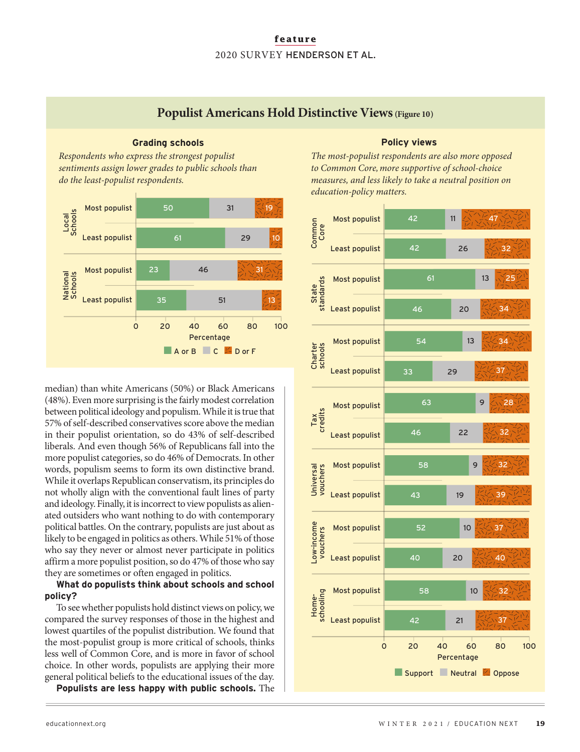Populist Americans Hold Distinctive Views (Figure 10)



**Grading schools**

*Respondents who express the strongest populist* 

median) than white Americans (50%) or Black Americans (48%). Even more surprising is the fairly modest correlation between political ideology and populism. While it is true that 57% of self-described conservatives score above the median in their populist orientation, so do 43% of self-described liberals. And even though 56% of Republicans fall into the more populist categories, so do 46% of Democrats. In other words, populism seems to form its own distinctive brand. While it overlaps Republican conservatism, its principles do not wholly align with the conventional fault lines of party and ideology. Finally, it is incorrect to view populists as alienated outsiders who want nothing to do with contemporary political battles. On the contrary, populists are just about as likely to be engaged in politics as others. While 51% of those who say they never or almost never participate in politics affirm a more populist position, so do 47% of those who say they are sometimes or often engaged in politics.

### **What do populists think about schools and school policy?**

To see whether populists hold distinct views on policy, we compared the survey responses of those in the highest and lowest quartiles of the populist distribution. We found that the most-populist group is more critical of schools, thinks less well of Common Core, and is more in favor of school choice. In other words, populists are applying their more general political beliefs to the educational issues of the day.

**Populists are less happy with public schools.** The

### **Policy views**

*The most-populist respondents are also more opposed to Common Core, more supportive of school-choice measures, and less likely to take a neutral position on education-policy matters.* 

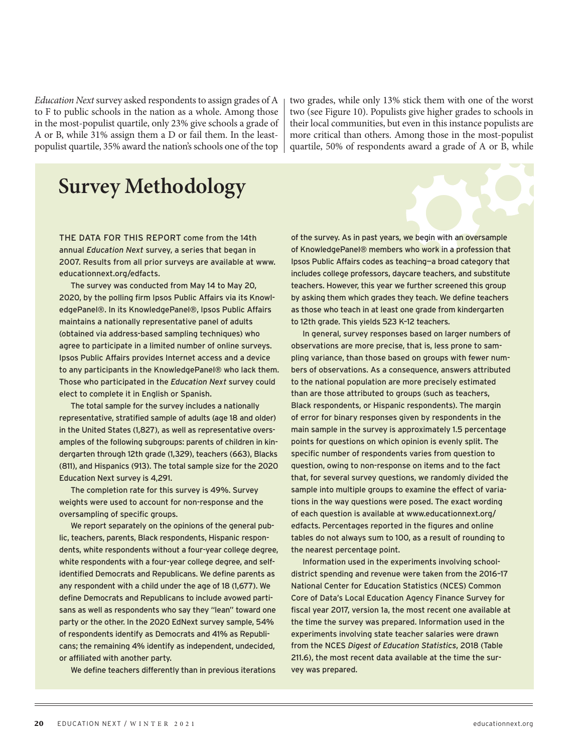*Education Next* survey asked respondents to assign grades of A to F to public schools in the nation as a whole. Among those in the most-populist quartile, only 23% give schools a grade of A or B, while 31% assign them a D or fail them. In the leastpopulist quartile, 35% award the nation's schools one of the top

two grades, while only 13% stick them with one of the worst two (see Figure 10). Populists give higher grades to schools in their local communities, but even in this instance populists are more critical than others. Among those in the most-populist quartile, 50% of respondents award a grade of A or B, while

### **Survey Methodology**

THE DATA FOR THIS REPORT come from the 14th annual *Education Next* survey, a series that began in 2007. Results from all prior surveys are available at www. educationnext.org/edfacts.

The survey was conducted from May 14 to May 20, 2020, by the polling firm Ipsos Public Affairs via its KnowledgePanel®. In its KnowledgePanel®, Ipsos Public Affairs maintains a nationally representative panel of adults (obtained via address-based sampling techniques) who agree to participate in a limited number of online surveys. Ipsos Public Affairs provides Internet access and a device to any participants in the KnowledgePanel® who lack them. Those who participated in the *Education Next* survey could elect to complete it in English or Spanish.

The total sample for the survey includes a nationally representative, stratified sample of adults (age 18 and older) in the United States (1,827), as well as representative oversamples of the following subgroups: parents of children in kindergarten through 12th grade (1,329), teachers (663), Blacks (811), and Hispanics (913). The total sample size for the 2020 Education Next survey is 4,291.

The completion rate for this survey is 49%. Survey weights were used to account for non-response and the oversampling of specific groups.

We report separately on the opinions of the general public, teachers, parents, Black respondents, Hispanic respondents, white respondents without a four-year college degree, white respondents with a four-year college degree, and selfidentified Democrats and Republicans. We define parents as any respondent with a child under the age of 18 (1,677). We define Democrats and Republicans to include avowed partisans as well as respondents who say they "lean" toward one party or the other. In the 2020 EdNext survey sample, 54% of respondents identify as Democrats and 41% as Republicans; the remaining 4% identify as independent, undecided, or affiliated with another party.

We define teachers differently than in previous iterations

of the survey. As in past years, we begin with an oversample of KnowledgePanel® members who work in a profession that Ipsos Public Affairs codes as teaching—a broad category that includes college professors, daycare teachers, and substitute teachers. However, this year we further screened this group by asking them which grades they teach. We define teachers as those who teach in at least one grade from kindergarten to 12th grade. This yields 523 K–12 teachers.

In general, survey responses based on larger numbers of observations are more precise, that is, less prone to sampling variance, than those based on groups with fewer numbers of observations. As a consequence, answers attributed to the national population are more precisely estimated than are those attributed to groups (such as teachers, Black respondents, or Hispanic respondents). The margin of error for binary responses given by respondents in the main sample in the survey is approximately 1.5 percentage points for questions on which opinion is evenly split. The specific number of respondents varies from question to question, owing to non-response on items and to the fact that, for several survey questions, we randomly divided the sample into multiple groups to examine the effect of variations in the way questions were posed. The exact wording of each question is available at www.educationnext.org/ edfacts. Percentages reported in the figures and online tables do not always sum to 100, as a result of rounding to the nearest percentage point.

Information used in the experiments involving schooldistrict spending and revenue were taken from the 2016–17 National Center for Education Statistics (NCES) Common Core of Data's Local Education Agency Finance Survey for fiscal year 2017, version 1a, the most recent one available at the time the survey was prepared. Information used in the experiments involving state teacher salaries were drawn from the NCES *Digest of Education Statistics*, 2018 (Table 211.6), the most recent data available at the time the survey was prepared.